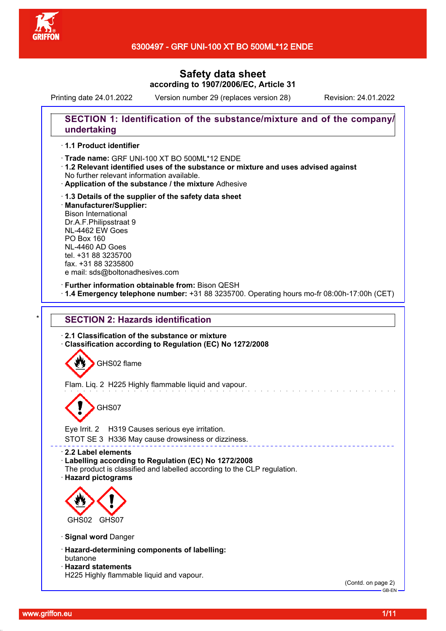

Printing date 24.01.2022 Version number 29 (replaces version 28) Revision: 24.01.2022

# **SECTION 1: Identification of the substance/mixture and of the company/ undertaking**

### · **1.1 Product identifier**

· Trade name: GRF UNI-100 XT BO 500ML\*12 ENDE

- · **1.2 Relevant identified uses of the substance or mixture and uses advised against** No further relevant information available.
- · **Application of the substance / the mixture** Adhesive
- · **1.3 Details of the supplier of the safety data sheet** · **Manufacturer/Supplier:** Bison International Dr.A.F.Philipsstraat 9 NL-4462 EW Goes PO Box 160 NL-4460 AD Goes tel. +31 88 3235700 fax. +31 88 3235800 e mail: sds@boltonadhesives.com

#### · **Further information obtainable from:** Bison QESH

· **1.4 Emergency telephone number:** +31 88 3235700. Operating hours mo-fr 08:00h-17:00h (CET)

# **SECTION 2: Hazards identification**

· **2.1 Classification of the substance or mixture** · **Classification according to Regulation (EC) No 1272/2008**

GHS02 flame

Flam. Liq. 2 H225 Highly flammable liquid and vapour.

# GHS07

Eye Irrit. 2 H319 Causes serious eye irritation.

STOT SE 3 H336 May cause drowsiness or dizziness.

· **2.2 Label elements**

- · **Labelling according to Regulation (EC) No 1272/2008**
- The product is classified and labelled according to the CLP regulation.
- · **Hazard pictograms**



- · **Signal word** Danger
- · **Hazard-determining components of labelling:**
- butanone
- · **Hazard statements**
- H225 Highly flammable liquid and vapour.

(Contd. on page 2) GB-EN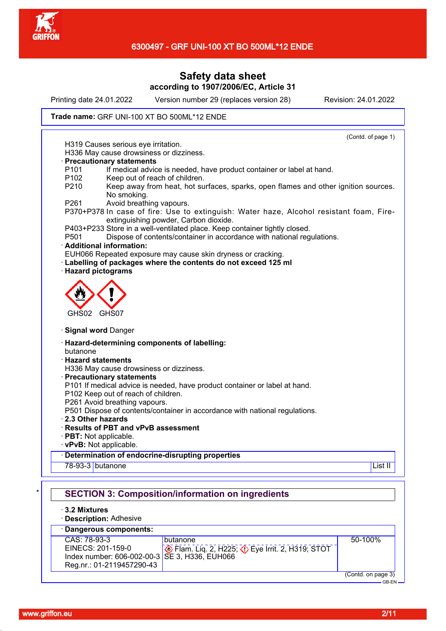

Printing date 24.01.2022 Version number 29 (replaces version 28) Revision: 24.01.2022

#### Trade name: GRF UNI-100 XT BO 500ML\*12 ENDE

(Contd. of page 1) H319 Causes serious eye irritation. H336 May cause drowsiness or dizziness. · **Precautionary statements** P101 If medical advice is needed, have product container or label at hand. P102 Keep out of reach of children. P210 Keep away from heat, hot surfaces, sparks, open flames and other ignition sources. No smoking. P261 Avoid breathing vapours. P370+P378 In case of fire: Use to extinguish: Water haze, Alcohol resistant foam, Fireextinguishing powder, Carbon dioxide. P403+P233 Store in a well-ventilated place. Keep container tightly closed. P501 Dispose of contents/container in accordance with national regulations. · **Additional information:** EUH066 Repeated exposure may cause skin dryness or cracking. · **Labelling of packages where the contents do not exceed 125 ml** · **Hazard pictograms** GHS02 GHS07 · **Signal word** Danger · **Hazard-determining components of labelling:** butanone · **Hazard statements** H336 May cause drowsiness or dizziness. · **Precautionary statements** P101 If medical advice is needed, have product container or label at hand. P102 Keep out of reach of children. P261 Avoid breathing vapours. P501 Dispose of contents/container in accordance with national regulations. · **2.3 Other hazards** · **Results of PBT and vPvB assessment** · **PBT:** Not applicable. · **vPvB:** Not applicable. · **Determination of endocrine-disrupting properties** 78-93-3 butanone List II \* **SECTION 3: Composition/information on ingredients**

- · **3.2 Mixtures**
- · **Description:** Adhesive

# · **Dangerous components:**

| $CAS: 78-93-3$                                | <b>butanone</b>                                                  | $50-100%$ |
|-----------------------------------------------|------------------------------------------------------------------|-----------|
| EINECS: 201-159-0                             | $\otimes$ Flam. Lig. 2, H225; $\otimes$ Eye Irrit. 2, H319; STOT |           |
| Index number: 606-002-00-3 SE 3, H336, EUH066 |                                                                  |           |
| Reg.nr.: 01-2119457290-43                     |                                                                  |           |
|                                               |                                                                  |           |

(Contd. on page 3) GB-EN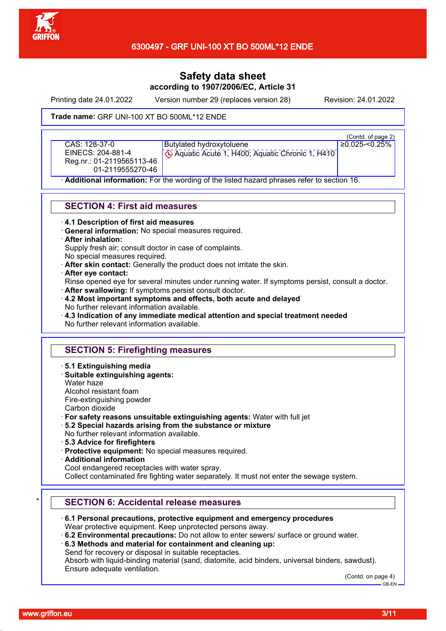

Printing date 24.01.2022 Version number 29 (replaces version 28) Revision: 24.01.2022

#### Trade name: GRF UNI-100 XT BO 500ML\*12 ENDE

(Contd. of page 2) CAS: 128-37-0 EINECS: 204-881-4 Reg.nr.: 01-2119565113-46 01-2119555270-46 Butylated hydroxytoluene Aquatic Acute 1, H400; Aquatic Chronic 1, H410 ≥0.025-<0.25%

· **Additional information:** For the wording of the listed hazard phrases refer to section 16.

### **SECTION 4: First aid measures**

· **4.1 Description of first aid measures**

· **General information:** No special measures required.

#### · **After inhalation:**

Supply fresh air; consult doctor in case of complaints.

No special measures required.

· **After skin contact:** Generally the product does not irritate the skin.

· **After eye contact:**

Rinse opened eye for several minutes under running water. If symptoms persist, consult a doctor. · **After swallowing:** If symptoms persist consult doctor.

· **4.2 Most important symptoms and effects, both acute and delayed** No further relevant information available.

· **4.3 Indication of any immediate medical attention and special treatment needed** No further relevant information available.

# **SECTION 5: Firefighting measures**

#### · **5.1 Extinguishing media**

- · **Suitable extinguishing agents:**
- Water haze Alcohol resistant foam

Fire-extinguishing powder

- Carbon dioxide
- · **For safety reasons unsuitable extinguishing agents:** Water with full jet
- · **5.2 Special hazards arising from the substance or mixture**
- No further relevant information available.
- · **5.3 Advice for firefighters**
- · **Protective equipment:** No special measures required.
- · **Additional information**
- Cool endangered receptacles with water spray.

Collect contaminated fire fighting water separately. It must not enter the sewage system.

# **SECTION 6: Accidental release measures**

· **6.1 Personal precautions, protective equipment and emergency procedures**

Wear protective equipment. Keep unprotected persons away.

· **6.2 Environmental precautions:** Do not allow to enter sewers/ surface or ground water.

- · **6.3 Methods and material for containment and cleaning up:**
- Send for recovery or disposal in suitable receptacles.

Absorb with liquid-binding material (sand, diatomite, acid binders, universal binders, sawdust). Ensure adequate ventilation.

(Contd. on page 4)

GB-EN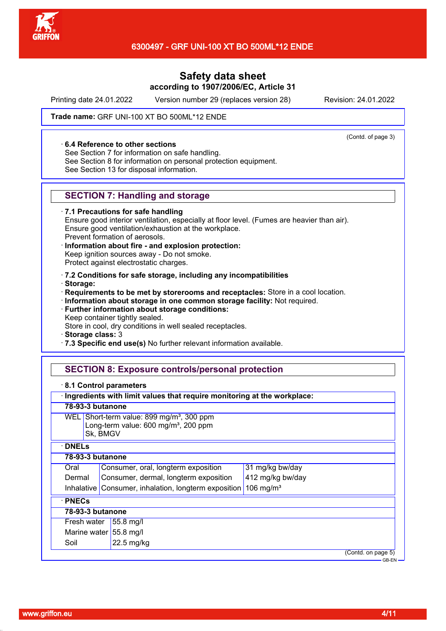

Printing date 24.01.2022 Version number 29 (replaces version 28) Revision: 24.01.2022

(Contd. of page 3)

#### Trade name: GRF UNI-100 XT BO 500ML\*12 ENDE

#### · **6.4 Reference to other sections**

See Section 7 for information on safe handling.

See Section 8 for information on personal protection equipment.

See Section 13 for disposal information.

### **SECTION 7: Handling and storage**

#### · **7.1 Precautions for safe handling**

Ensure good interior ventilation, especially at floor level. (Fumes are heavier than air). Ensure good ventilation/exhaustion at the workplace. Prevent formation of aerosols.

#### · **Information about fire - and explosion protection:** Keep ignition sources away - Do not smoke. Protect against electrostatic charges.

· **7.2 Conditions for safe storage, including any incompatibilities**

· **Storage:**

· **Requirements to be met by storerooms and receptacles:** Store in a cool location.

· **Information about storage in one common storage facility:** Not required.

· **Further information about storage conditions:**

Keep container tightly sealed.

Store in cool, dry conditions in well sealed receptacles.

· **Storage class:** 3

· **7.3 Specific end use(s)** No further relevant information available.

### **SECTION 8: Exposure controls/personal protection**

#### · **8.1 Control parameters**

| 78-93-3 butanone |                                                                                                          |                  |                    |
|------------------|----------------------------------------------------------------------------------------------------------|------------------|--------------------|
| Sk, BMGV         | WEL Short-term value: $899 \text{ mg/m}^3$ , 300 ppm<br>Long-term value: 600 mg/m <sup>3</sup> , 200 ppm |                  |                    |
| <b>DNELs</b>     |                                                                                                          |                  |                    |
| 78-93-3 butanone |                                                                                                          |                  |                    |
| Oral             | Consumer, oral, longterm exposition                                                                      | 31 mg/kg bw/day  |                    |
| Dermal           | Consumer, dermal, longterm exposition                                                                    | 412 mg/kg bw/day |                    |
|                  | Inhalative Consumer, inhalation, longterm exposition 106 mg/m <sup>3</sup>                               |                  |                    |
| $\cdot$ PNECs    |                                                                                                          |                  |                    |
| 78-93-3 butanone |                                                                                                          |                  |                    |
| Fresh water      | 55.8 mg/l                                                                                                |                  |                    |
|                  | Marine water 55.8 mg/l                                                                                   |                  |                    |
| Soil             | $22.5$ mg/kg                                                                                             |                  |                    |
|                  |                                                                                                          |                  | (Contd. on page 5) |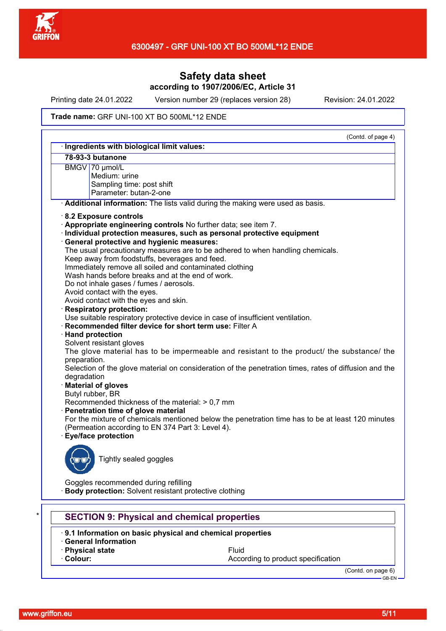

Printing date 24.01.2022 Version number 29 (replaces version 28) Revision: 24.01.2022

#### Trade name: GRF UNI-100 XT BO 500ML\*12 ENDE

|              | · Ingredients with biological limit values:                                                           |
|--------------|-------------------------------------------------------------------------------------------------------|
|              | 78-93-3 butanone                                                                                      |
|              | BMGV 70 µmol/L                                                                                        |
|              | Medium: urine                                                                                         |
|              | Sampling time: post shift                                                                             |
|              | Parameter: butan-2-one                                                                                |
|              | Additional information: The lists valid during the making were used as basis.                         |
|              | $\cdot$ 8.2 Exposure controls                                                                         |
|              | . Appropriate engineering controls No further data; see item 7.                                       |
|              | · Individual protection measures, such as personal protective equipment                               |
|              | · General protective and hygienic measures:                                                           |
|              | The usual precautionary measures are to be adhered to when handling chemicals.                        |
|              | Keep away from foodstuffs, beverages and feed.                                                        |
|              | Immediately remove all soiled and contaminated clothing                                               |
|              | Wash hands before breaks and at the end of work.                                                      |
|              | Do not inhale gases / fumes / aerosols.                                                               |
|              | Avoid contact with the eyes.                                                                          |
|              | Avoid contact with the eyes and skin.                                                                 |
|              | <b>Respiratory protection:</b>                                                                        |
|              | Use suitable respiratory protective device in case of insufficient ventilation.                       |
|              | · Recommended filter device for short term use: Filter A                                              |
|              | · Hand protection                                                                                     |
|              | Solvent resistant gloves                                                                              |
|              | The glove material has to be impermeable and resistant to the product/ the substance/ the             |
| preparation. |                                                                                                       |
|              | Selection of the glove material on consideration of the penetration times, rates of diffusion and the |
| degradation  |                                                                                                       |
|              | <b>Material of gloves</b>                                                                             |
|              | Butyl rubber, BR                                                                                      |
|              | Recommended thickness of the material: > 0,7 mm                                                       |
|              | · Penetration time of glove material                                                                  |
|              | For the mixture of chemicals mentioned below the penetration time has to be at least 120 minutes      |
|              | (Permeation according to EN 374 Part 3: Level 4).                                                     |
|              | <b>Eye/face protection</b>                                                                            |
|              |                                                                                                       |
|              |                                                                                                       |
|              | Tightly sealed goggles                                                                                |
|              |                                                                                                       |
|              |                                                                                                       |
|              | Goggles recommended during refilling<br><b>Body protection:</b> Solvent resistant protective clothing |
|              |                                                                                                       |

- · **9.1 Information on basic physical and chemical properties**
- · **General Information**
- **Physical state** Fluid **Physical state** Fluid **Colour:**

· **Colour:** Colour: **According to product specification** 

(Contd. on page 6)

GB-EN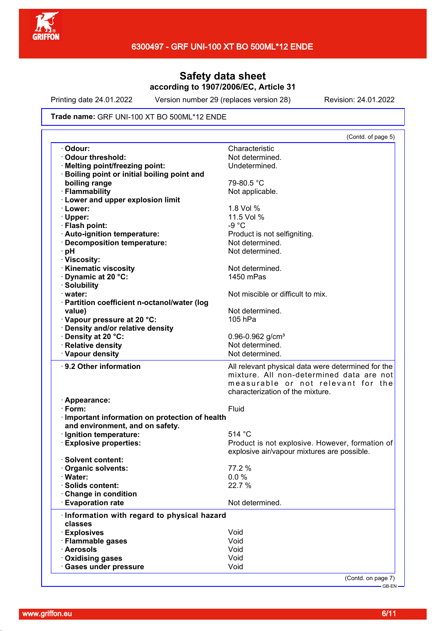

Printing date 24.01.2022 Version number 29 (replaces version 28) Revision: 24.01.2022

#### Trade name: GRF UNI-100 XT BO 500ML\*12 ENDE

|                                                       | (Contd. of page 5)                                                                                                                                                       |
|-------------------------------------------------------|--------------------------------------------------------------------------------------------------------------------------------------------------------------------------|
| · Odour:                                              | Characteristic                                                                                                                                                           |
| · Odour threshold:                                    | Not determined.                                                                                                                                                          |
| · Melting point/freezing point:                       | Undetermined.                                                                                                                                                            |
| · Boiling point or initial boiling point and          |                                                                                                                                                                          |
| boiling range                                         | 79-80.5 °C                                                                                                                                                               |
| · Flammability                                        | Not applicable.                                                                                                                                                          |
| · Lower and upper explosion limit                     |                                                                                                                                                                          |
| · Lower:                                              | 1.8 Vol %                                                                                                                                                                |
| · Upper:                                              | 11.5 Vol %                                                                                                                                                               |
| · Flash point:                                        | $-9 °C$                                                                                                                                                                  |
| · Auto-ignition temperature:                          | Product is not selfigniting.                                                                                                                                             |
| · Decomposition temperature:                          | Not determined.                                                                                                                                                          |
| ∙ pH                                                  | Not determined.                                                                                                                                                          |
| · Viscosity:                                          |                                                                                                                                                                          |
| <b>Kinematic viscosity</b>                            | Not determined.                                                                                                                                                          |
| Dynamic at 20 °C:                                     | 1450 mPas                                                                                                                                                                |
| · Solubility                                          |                                                                                                                                                                          |
| water:                                                | Not miscible or difficult to mix.                                                                                                                                        |
|                                                       |                                                                                                                                                                          |
| · Partition coefficient n-octanol/water (log          |                                                                                                                                                                          |
| value)                                                | Not determined.                                                                                                                                                          |
| Vapour pressure at 20 °C:                             | 105 hPa                                                                                                                                                                  |
| · Density and/or relative density                     |                                                                                                                                                                          |
| · Density at 20 °C:                                   | $0.96 - 0.962$ g/cm <sup>3</sup>                                                                                                                                         |
| · Relative density                                    | Not determined.                                                                                                                                                          |
| · Vapour density                                      | Not determined.                                                                                                                                                          |
| 9.2 Other information                                 | All relevant physical data were determined for the<br>mixture. All non-determined data are not<br>measurable or not relevant for the<br>characterization of the mixture. |
| · Appearance:                                         |                                                                                                                                                                          |
| $\cdot$ Form:                                         | Fluid                                                                                                                                                                    |
| Important information on protection of health         |                                                                                                                                                                          |
| and environment, and on safety.                       |                                                                                                                                                                          |
| · Ignition temperature:                               | 514 °C                                                                                                                                                                   |
| <b>Explosive properties:</b>                          | Product is not explosive. However, formation of                                                                                                                          |
|                                                       | explosive air/vapour mixtures are possible.                                                                                                                              |
| · Solvent content:                                    |                                                                                                                                                                          |
| Organic solvents:                                     | 77.2 %                                                                                                                                                                   |
| · Water:                                              | 0.0%                                                                                                                                                                     |
| <b>Solids content:</b>                                | 22.7 %                                                                                                                                                                   |
| Change in condition                                   |                                                                                                                                                                          |
| <b>Evaporation rate</b>                               | Not determined.                                                                                                                                                          |
|                                                       |                                                                                                                                                                          |
| Information with regard to physical hazard<br>classes |                                                                                                                                                                          |
| · Explosives                                          | Void                                                                                                                                                                     |
| · Flammable gases                                     | Void                                                                                                                                                                     |
| · Aerosols                                            | Void                                                                                                                                                                     |
| Oxidising gases                                       | Void                                                                                                                                                                     |
| · Gases under pressure                                | Void                                                                                                                                                                     |
|                                                       |                                                                                                                                                                          |
|                                                       | (Contd. on page 7)                                                                                                                                                       |
|                                                       | GB-EN-                                                                                                                                                                   |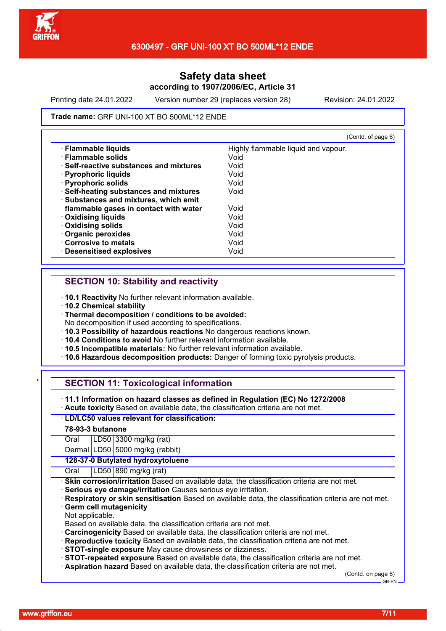

Printing date 24.01.2022 Version number 29 (replaces version 28) Revision: 24.01.2022

#### Trade name: GRF UNI-100 XT BO 500ML\*12 ENDE

|                                         | (Contd. of page 6)                  |
|-----------------------------------------|-------------------------------------|
| · Flammable liquids                     | Highly flammable liquid and vapour. |
| · Flammable solids                      | Void                                |
| · Self-reactive substances and mixtures | Void                                |
| · Pyrophoric liquids                    | Void                                |
| · Pyrophoric solids                     | Void                                |
| · Self-heating substances and mixtures  | Void                                |
| · Substances and mixtures, which emit   |                                     |
| flammable gases in contact with water   | Void                                |
| · Oxidising liquids                     | Void                                |
| Oxidising solids                        | Void                                |
| · Organic peroxides                     | Void                                |
| Corrosive to metals                     | Void                                |
| · Desensitised explosives               | Void                                |

### **SECTION 10: Stability and reactivity**

· **10.1 Reactivity** No further relevant information available.

- · **10.2 Chemical stability**
- · **Thermal decomposition / conditions to be avoided:**

No decomposition if used according to specifications.

- · **10.3 Possibility of hazardous reactions** No dangerous reactions known.
- · **10.4 Conditions to avoid** No further relevant information available.
- · **10.5 Incompatible materials:** No further relevant information available.
- · **10.6 Hazardous decomposition products:** Danger of forming toxic pyrolysis products.

### **SECTION 11: Toxicological information**

· **11.1 Information on hazard classes as defined in Regulation (EC) No 1272/2008**

· **Acute toxicity** Based on available data, the classification criteria are not met.

|                  | · LD/LC50 values relevant for classification:                                                       |
|------------------|-----------------------------------------------------------------------------------------------------|
| 78-93-3 butanone |                                                                                                     |
| Oral             | LD50 3300 mg/kg (rat)                                                                               |
|                  | Dermal LD50 5000 mg/kg (rabbit)                                                                     |
|                  | 128-37-0 Butylated hydroxytoluene                                                                   |
| Oral             | LD50 890 mg/kg (rat)                                                                                |
|                  | · Skin corrosion/irritation Based on available data, the classification criteria are not met.       |
|                  | Serious eye damage/irritation Causes serious eye irritation.                                        |
|                  | Respiratory or skin sensitisation Based on available data, the classification criteria are not met. |
|                  | <b>Germ cell mutagenicity</b>                                                                       |
| Not applicable.  |                                                                                                     |
|                  | Based on available data, the classification criteria are not met.                                   |
|                  | Carcinogenicity Based on available data, the classification criteria are not met.                   |
|                  | Reproductive toxicity Based on available data, the classification criteria are not met.             |
|                  | STOT-single exposure May cause drowsiness or dizziness.                                             |
|                  | · STOT-repeated exposure Based on available data, the classification criteria are not met.          |
|                  | Aspiration hazard Based on available data, the classification criteria are not met.                 |

(Contd. on page 8)

GB-EN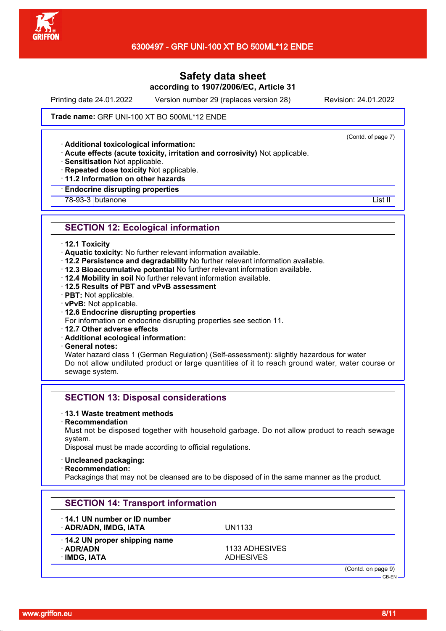

Printing date 24.01.2022 Version number 29 (replaces version 28) Revision: 24.01.2022

(Contd. of page 7)

#### Trade name: GRF UNI-100 XT BO 500ML\*12 ENDE

· **Additional toxicological information:**

- · **Acute effects (acute toxicity, irritation and corrosivity)** Not applicable.
- · **Sensitisation** Not applicable.
- · **Repeated dose toxicity** Not applicable.
- · **11.2 Information on other hazards**

#### · **Endocrine disrupting properties**

78-93-3 butanone List II

### **SECTION 12: Ecological information**

#### · **12.1 Toxicity**

- · **Aquatic toxicity:** No further relevant information available.
- · **12.2 Persistence and degradability** No further relevant information available.
- · **12.3 Bioaccumulative potential** No further relevant information available.
- · **12.4 Mobility in soil** No further relevant information available.
- · **12.5 Results of PBT and vPvB assessment**
- · **PBT:** Not applicable.
- · **vPvB:** Not applicable.
- · **12.6 Endocrine disrupting properties**

For information on endocrine disrupting properties see section 11.

- · **12.7 Other adverse effects**
- · **Additional ecological information:**
- · **General notes:**

Water hazard class 1 (German Regulation) (Self-assessment): slightly hazardous for water Do not allow undiluted product or large quantities of it to reach ground water, water course or sewage system.

#### **SECTION 13: Disposal considerations**

#### · **13.1 Waste treatment methods**

· **Recommendation**

Must not be disposed together with household garbage. Do not allow product to reach sewage system.

Disposal must be made according to official regulations.

- · **Uncleaned packaging:**
- · **Recommendation:**

Packagings that may not be cleansed are to be disposed of in the same manner as the product.

| <b>SECTION 14: Transport information</b>                  |                                    |                                     |
|-----------------------------------------------------------|------------------------------------|-------------------------------------|
| 14.1 UN number or ID number<br>· ADR/ADN, IMDG, IATA      | UN1133                             |                                     |
| 14.2 UN proper shipping name<br>· ADR/ADN<br>· IMDG, IATA | 1133 ADHESIVES<br><b>ADHESIVES</b> |                                     |
|                                                           |                                    | (Contd. on page 9)<br>$-$ GB-EN $-$ |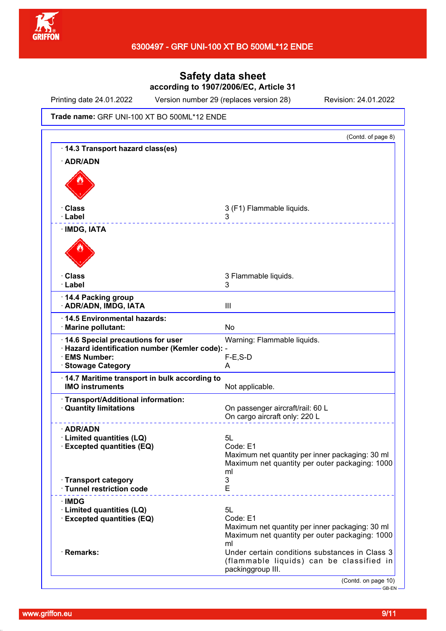

Printing date 24.01.2022 Version number 29 (replaces version 28) Revision: 24.01.2022

#### Trade name: GRF UNI-100 XT BO 500ML\*12 ENDE

| 14.3 Transport hazard class(es)                                        | (Contd. of page 8)                                                                                                    |
|------------------------------------------------------------------------|-----------------------------------------------------------------------------------------------------------------------|
| · ADR/ADN                                                              |                                                                                                                       |
|                                                                        |                                                                                                                       |
|                                                                        |                                                                                                                       |
| · Class<br>· Label                                                     | 3 (F1) Flammable liquids.<br>3                                                                                        |
| · IMDG, IATA                                                           | <u>.</u>                                                                                                              |
|                                                                        |                                                                                                                       |
| · Class<br>· Label                                                     | 3 Flammable liquids.<br>3                                                                                             |
| 14.4 Packing group<br>· ADR/ADN, IMDG, IATA                            | III                                                                                                                   |
| · 14.5 Environmental hazards:<br>· Marine pollutant:                   | No                                                                                                                    |
| 14.6 Special precautions for user                                      | Warning: Flammable liquids.                                                                                           |
| · Hazard identification number (Kemler code): -<br>· EMS Number:       | $F-E$ , S-D                                                                                                           |
| · Stowage Category                                                     | Α                                                                                                                     |
| 14.7 Maritime transport in bulk according to<br><b>IMO instruments</b> | Not applicable.                                                                                                       |
| · Transport/Additional information:<br><b>Quantity limitations</b>     | On passenger aircraft/rail: 60 L                                                                                      |
|                                                                        | On cargo aircraft only: 220 L                                                                                         |
| · ADR/ADN<br>· Limited quantities (LQ)                                 | 5L                                                                                                                    |
| <b>Excepted quantities (EQ)</b>                                        | Code: E1                                                                                                              |
|                                                                        | Maximum net quantity per inner packaging: 30 ml<br>Maximum net quantity per outer packaging: 1000                     |
|                                                                        | ml                                                                                                                    |
| · Transport category<br>· Tunnel restriction code                      | 3<br>Е                                                                                                                |
| ∙IMDG                                                                  |                                                                                                                       |
| · Limited quantities (LQ)                                              | 5L                                                                                                                    |
| <b>Excepted quantities (EQ)</b>                                        | Code: E1<br>Maximum net quantity per inner packaging: 30 ml<br>Maximum net quantity per outer packaging: 1000         |
| · Remarks:                                                             | ml<br>Under certain conditions substances in Class 3<br>(flammable liquids) can be classified in<br>packinggroup III. |
|                                                                        | (Contd. on page 10)                                                                                                   |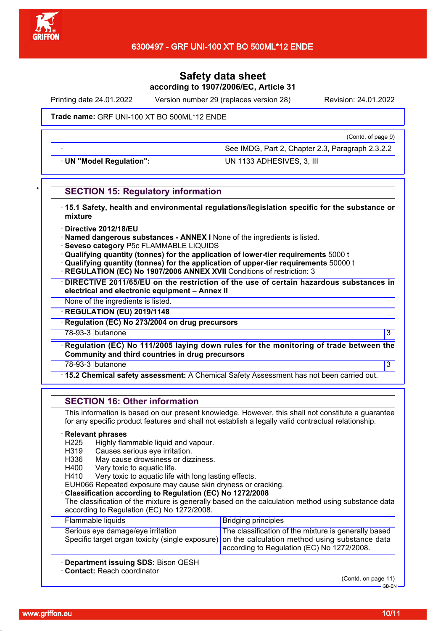

Printing date 24.01.2022 Version number 29 (replaces version 28) Revision: 24.01.2022

### Trade name: GRF UNI-100 XT BO 500ML\*12 ENDE

(Contd. of page 9)

· **UN "Model Regulation":** UN 1133 ADHESIVES, 3, III

See IMDG, Part 2, Chapter 2.3, Paragraph 2.3.2.2

### **SECTION 15: Regulatory information**

- · **15.1 Safety, health and environmental regulations/legislation specific for the substance or mixture**
- · **Directive 2012/18/EU**
- · **Named dangerous substances ANNEX I** None of the ingredients is listed.
- · **Seveso category** P5c FLAMMABLE LIQUIDS
- · **Qualifying quantity (tonnes) for the application of lower-tier requirements** 5000 t
- · **Qualifying quantity (tonnes) for the application of upper-tier requirements** 50000 t
- **REGULATION (EC) No 1907/2006 ANNEX XVII** Conditions of restriction: 3

· **DIRECTIVE 2011/65/EU on the restriction of the use of certain hazardous substances in electrical and electronic equipment – Annex II**

None of the ingredients is listed.

· **REGULATION (EU) 2019/1148**

· **Regulation (EC) No 273/2004 on drug precursors**

78-93-3 butanone 3

· **Regulation (EC) No 111/2005 laying down rules for the monitoring of trade between the Community and third countries in drug precursors**

78-93-3 butanone 33 and 33 and 34 and 35 and 35 and 35 and 35 and 35 and 35 and 35 and 35 and 36 and 36 and 36  $\,$ 

· **15.2 Chemical safety assessment:** A Chemical Safety Assessment has not been carried out.

### **SECTION 16: Other information**

This information is based on our present knowledge. However, this shall not constitute a guarantee for any specific product features and shall not establish a legally valid contractual relationship.

#### · **Relevant phrases**

- H225 Highly flammable liquid and vapour.
- H319 Causes serious eye irritation.
- H336 May cause drowsiness or dizziness.
- H400 Very toxic to aquatic life.

H410 Very toxic to aquatic life with long lasting effects.

EUH066 Repeated exposure may cause skin dryness or cracking.

### · **Classification according to Regulation (EC) No 1272/2008**

The classification of the mixture is generally based on the calculation method using substance data according to Regulation (EC) No 1272/2008.

| Flammable liquids                 | <b>Bridging principles</b>                                                                                                                                                                            |
|-----------------------------------|-------------------------------------------------------------------------------------------------------------------------------------------------------------------------------------------------------|
| Serious eye damage/eye irritation | The classification of the mixture is generally based<br>Specific target organ toxicity (single exposure) on the calculation method using substance data<br>according to Regulation (EC) No 1272/2008. |
|                                   |                                                                                                                                                                                                       |

### · **Department issuing SDS:** Bison QESH

· **Contact:** Reach coordinator

(Contd. on page 11)  $-$  GB-EN